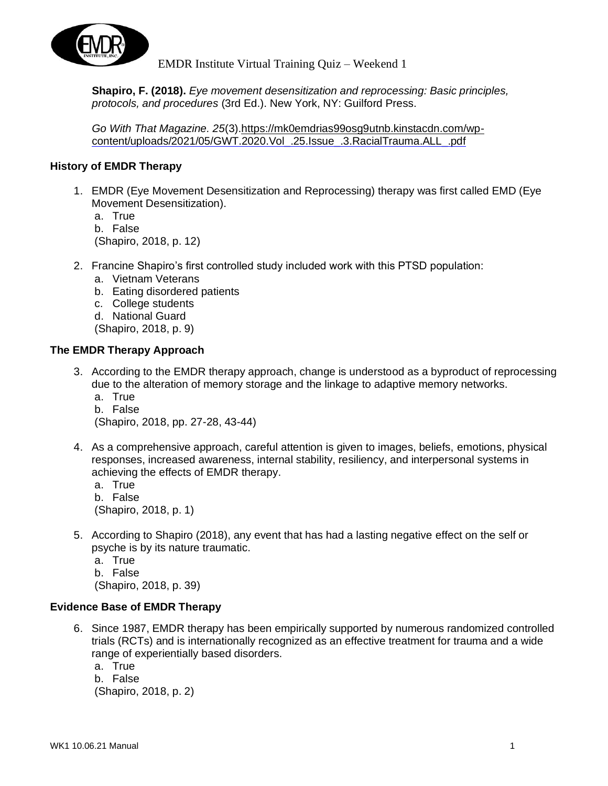

**Shapiro, F. (2018).** *Eye movement desensitization and reprocessing: Basic principles, protocols, and procedures* (3rd Ed.). New York, NY: Guilford Press.

*Go With That Magazine. 25*(3)[.https://mk0emdrias99osg9utnb.kinstacdn.com/wp](https://mk0emdrias99osg9utnb.kinstacdn.com/wp-)[content/uploads/2021/05/GWT.2020.Vol\\_.25.Issue\\_.3.RacialTrauma.ALL\\_.pdf](https://mk0emdrias99osg9utnb.kinstacdn.com/wp-content/uploads/2021/05/GWT.2020.Vol_.25.Issue_.3.RacialTrauma.ALL_.pdf)

## **History of EMDR Therapy**

- 1. EMDR (Eye Movement Desensitization and Reprocessing) therapy was first called EMD (Eye Movement Desensitization).
	- a. True b. False (Shapiro, 2018, p. 12)
- 2. Francine Shapiro's first controlled study included work with this PTSD population:
	- a. Vietnam Veterans
	- b. Eating disordered patients
	- c. College students
	- d. National Guard
	- (Shapiro, 2018, p. 9)

# **The EMDR Therapy Approach**

- 3. According to the EMDR therapy approach, change is understood as a byproduct of reprocessing due to the alteration of memory storage and the linkage to adaptive memory networks.
	- a. True b. False (Shapiro, 2018, pp. 27-28, 43-44)
- 4. As a comprehensive approach, careful attention is given to images, beliefs, emotions, physical responses, increased awareness, internal stability, resiliency, and interpersonal systems in achieving the effects of EMDR therapy.
	- a. True b. False (Shapiro, 2018, p. 1)
- 5. According to Shapiro (2018), any event that has had a lasting negative effect on the self or psyche is by its nature traumatic.
	- a. True b. False (Shapiro, 2018, p. 39)

#### **Evidence Base of EMDR Therapy**

- 6. Since 1987, EMDR therapy has been empirically supported by numerous randomized controlled trials (RCTs) and is internationally recognized as an effective treatment for trauma and a wide range of experientially based disorders.
	- a. True
	- b. False

(Shapiro, 2018, p. 2)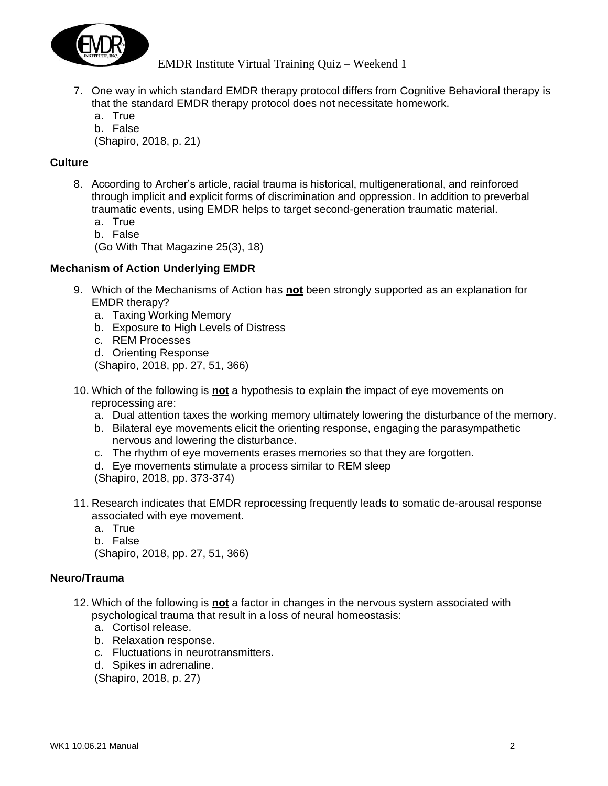

- 7. One way in which standard EMDR therapy protocol differs from Cognitive Behavioral therapy is that the standard EMDR therapy protocol does not necessitate homework.
	- a. True
	- b. False

(Shapiro, 2018, p. 21)

# **Culture**

- 8. According to Archer's article, racial trauma is historical, multigenerational, and reinforced through implicit and explicit forms of discrimination and oppression. In addition to preverbal traumatic events, using EMDR helps to target second-generation traumatic material.
	- a. True
	- b. False

(Go With That Magazine 25(3), 18)

#### **Mechanism of Action Underlying EMDR**

- 9. Which of the Mechanisms of Action has **not** been strongly supported as an explanation for EMDR therapy?
	- a. Taxing Working Memory
	- b. Exposure to High Levels of Distress
	- c. REM Processes
	- d. Orienting Response

(Shapiro, 2018, pp. 27, 51, 366)

- 10. Which of the following is **not** a hypothesis to explain the impact of eye movements on reprocessing are:
	- a. Dual attention taxes the working memory ultimately lowering the disturbance of the memory.
	- b. Bilateral eye movements elicit the orienting response, engaging the parasympathetic nervous and lowering the disturbance.
	- c. The rhythm of eye movements erases memories so that they are forgotten.
	- d. Eye movements stimulate a process similar to REM sleep

(Shapiro, 2018, pp. 373-374)

- 11. Research indicates that EMDR reprocessing frequently leads to somatic de-arousal response associated with eye movement.
	- a. True
	- b. False

(Shapiro, 2018, pp. 27, 51, 366)

#### **Neuro/Trauma**

- 12. Which of the following is **not** a factor in changes in the nervous system associated with psychological trauma that result in a loss of neural homeostasis:
	- a. Cortisol release.
	- b. Relaxation response.
	- c. Fluctuations in neurotransmitters.
	- d. Spikes in adrenaline.

(Shapiro, 2018, p. 27)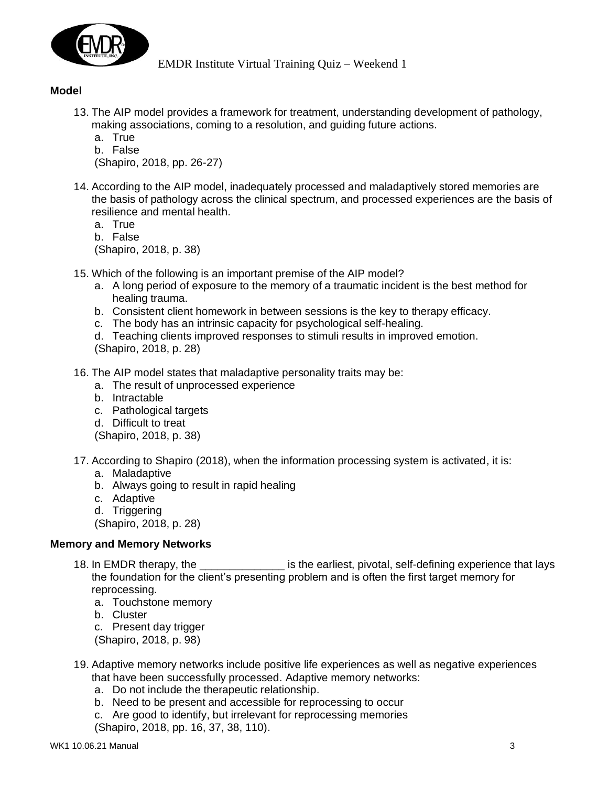

# **Model**

- 13. The AIP model provides a framework for treatment, understanding development of pathology, making associations, coming to a resolution, and guiding future actions.
	- a. True
	- b. False

(Shapiro, 2018, pp. 26-27)

- 14. According to the AIP model, inadequately processed and maladaptively stored memories are the basis of pathology across the clinical spectrum, and processed experiences are the basis of resilience and mental health.
	- a. True

b. False

(Shapiro, 2018, p. 38)

- 15. Which of the following is an important premise of the AIP model?
	- a. A long period of exposure to the memory of a traumatic incident is the best method for healing trauma.
	- b. Consistent client homework in between sessions is the key to therapy efficacy.
	- c. The body has an intrinsic capacity for psychological self-healing.

d. Teaching clients improved responses to stimuli results in improved emotion. (Shapiro, 2018, p. 28)

- 16. The AIP model states that maladaptive personality traits may be:
	- a. The result of unprocessed experience
	- b. Intractable
	- c. Pathological targets
	- d. Difficult to treat

(Shapiro, 2018, p. 38)

- 17. According to Shapiro (2018), when the information processing system is activated, it is:
	- a. Maladaptive
	- b. Always going to result in rapid healing
	- c. Adaptive
	- d. Triggering

(Shapiro, 2018, p. 28)

#### **Memory and Memory Networks**

- 18. In EMDR therapy, the same is the earliest, pivotal, self-defining experience that lays the foundation for the client's presenting problem and is often the first target memory for reprocessing.
	- a. Touchstone memory
	- b. Cluster
	- c. Present day trigger

(Shapiro, 2018, p. 98)

- 19. Adaptive memory networks include positive life experiences as well as negative experiences that have been successfully processed. Adaptive memory networks:
	- a. Do not include the therapeutic relationship.
	- b. Need to be present and accessible for reprocessing to occur
	- c. Are good to identify, but irrelevant for reprocessing memories
	- (Shapiro, 2018, pp. 16, 37, 38, 110).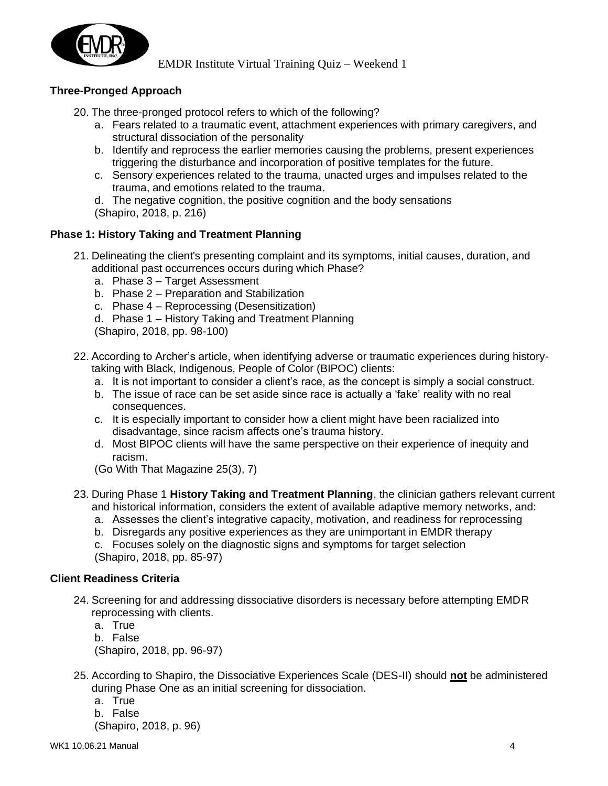

# **Three-Pronged Approach**

- 20. The three-pronged protocol refers to which of the following?
	- a. Fears related to a traumatic event, attachment experiences with primary caregivers, and structural dissociation of the personality
	- b. Identify and reprocess the earlier memories causing the problems, present experiences triggering the disturbance and incorporation of positive templates for the future.
	- c. Sensory experiences related to the trauma, unacted urges and impulses related to the trauma, and emotions related to the trauma.

d. The negative cognition, the positive cognition and the body sensations (Shapiro, 2018, p. 216)

#### **Phase 1: History Taking and Treatment Planning**

- 21. Delineating the client's presenting complaint and its symptoms, initial causes, duration, and additional past occurrences occurs during which Phase?
	- a. Phase 3 Target Assessment
	- b. Phase 2 Preparation and Stabilization
	- c. Phase 4 Reprocessing (Desensitization)
	- d. Phase 1 History Taking and Treatment Planning

(Shapiro, 2018, pp. 98-100)

- 22. According to Archer's article, when identifying adverse or traumatic experiences during historytaking with Black, Indigenous, People of Color (BIPOC) clients:
	- a. It is not important to consider a client's race, as the concept is simply a social construct.
	- b. The issue of race can be set aside since race is actually a 'fake' reality with no real consequences.
	- c. It is especially important to consider how a client might have been racialized into disadvantage, since racism affects one's trauma history.
	- d. Most BIPOC clients will have the same perspective on their experience of inequity and racism.
	- (Go With That Magazine 25(3), 7)
- 23. During Phase 1 **History Taking and Treatment Planning**, the clinician gathers relevant current and historical information, considers the extent of available adaptive memory networks, and:
	- a. Assesses the client's integrative capacity, motivation, and readiness for reprocessing
	- b. Disregards any positive experiences as they are unimportant in EMDR therapy
	- c. Focuses solely on the diagnostic signs and symptoms for target selection (Shapiro, 2018, pp. 85-97)

#### **Client Readiness Criteria**

- 24. Screening for and addressing dissociative disorders is necessary before attempting EMDR reprocessing with clients.
	- a. True
	- b. False (Shapiro, 2018, pp. 96-97)
- 25. According to Shapiro, the Dissociative Experiences Scale (DES-II) should **not** be administered during Phase One as an initial screening for dissociation.
	- a. True
	- b. False

(Shapiro, 2018, p. 96)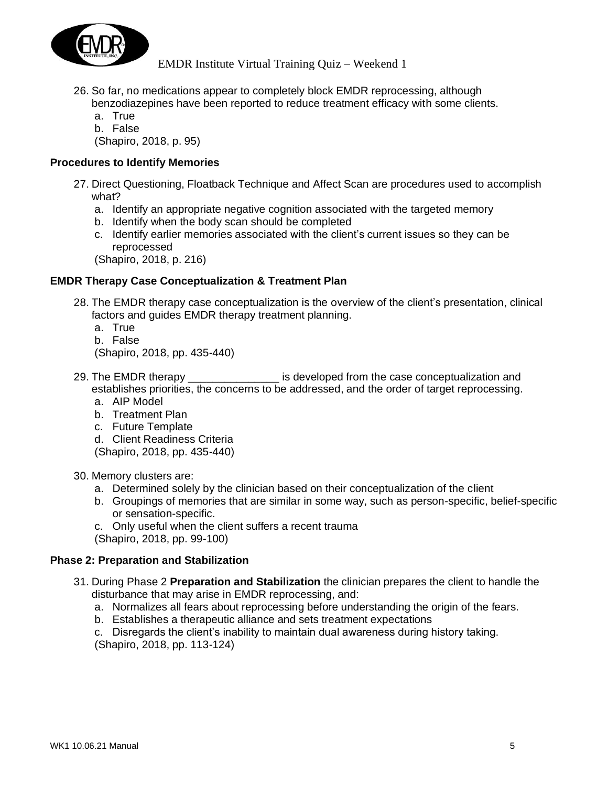

- 26. So far, no medications appear to completely block EMDR reprocessing, although benzodiazepines have been reported to reduce treatment efficacy with some clients.
	- a. True
	- b. False

(Shapiro, 2018, p. 95)

## **Procedures to Identify Memories**

- 27. Direct Questioning, Floatback Technique and Affect Scan are procedures used to accomplish what?
	- a. Identify an appropriate negative cognition associated with the targeted memory
	- b. Identify when the body scan should be completed
	- c. Identify earlier memories associated with the client's current issues so they can be reprocessed

(Shapiro, 2018, p. 216)

# **EMDR Therapy Case Conceptualization & Treatment Plan**

- 28. The EMDR therapy case conceptualization is the overview of the client's presentation, clinical factors and guides EMDR therapy treatment planning.
	- a. True
	- b. False

(Shapiro, 2018, pp. 435-440)

- 29. The EMDR therapy entitled is developed from the case conceptualization and establishes priorities, the concerns to be addressed, and the order of target reprocessing.
	- a. AIP Model
	- b. Treatment Plan
	- c. Future Template

d. Client Readiness Criteria (Shapiro, 2018, pp. 435-440)

30. Memory clusters are:

- a. Determined solely by the clinician based on their conceptualization of the client
- b. Groupings of memories that are similar in some way, such as person-specific, belief-specific or sensation-specific.
- c. Only useful when the client suffers a recent trauma
- (Shapiro, 2018, pp. 99-100)

#### **Phase 2: Preparation and Stabilization**

- 31. During Phase 2 **Preparation and Stabilization** the clinician prepares the client to handle the disturbance that may arise in EMDR reprocessing, and:
	- a. Normalizes all fears about reprocessing before understanding the origin of the fears.
	- b. Establishes a therapeutic alliance and sets treatment expectations

c. Disregards the client's inability to maintain dual awareness during history taking. (Shapiro, 2018, pp. 113-124)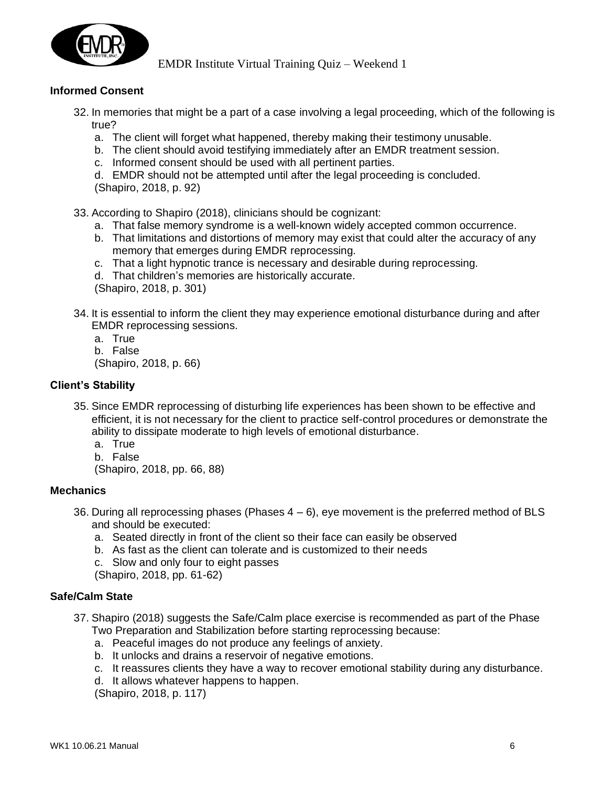

# **Informed Consent**

- 32. In memories that might be a part of a case involving a legal proceeding, which of the following is true?
	- a. The client will forget what happened, thereby making their testimony unusable.
	- b. The client should avoid testifying immediately after an EMDR treatment session.
	- c. Informed consent should be used with all pertinent parties.

d. EMDR should not be attempted until after the legal proceeding is concluded. (Shapiro, 2018, p. 92)

33. According to Shapiro (2018), clinicians should be cognizant:

- a. That false memory syndrome is a well-known widely accepted common occurrence.
- b. That limitations and distortions of memory may exist that could alter the accuracy of any memory that emerges during EMDR reprocessing.
- c. That a light hypnotic trance is necessary and desirable during reprocessing.
- d. That children's memories are historically accurate.

(Shapiro, 2018, p. 301)

- 34. It is essential to inform the client they may experience emotional disturbance during and after EMDR reprocessing sessions.
	- a. True
	- b. False

(Shapiro, 2018, p. 66)

# **Client's Stability**

- 35. Since EMDR reprocessing of disturbing life experiences has been shown to be effective and efficient, it is not necessary for the client to practice self-control procedures or demonstrate the ability to dissipate moderate to high levels of emotional disturbance.
	- a. True
	- b. False

(Shapiro, 2018, pp. 66, 88)

#### **Mechanics**

- 36. During all reprocessing phases (Phases  $4-6$ ), eye movement is the preferred method of BLS and should be executed:
	- a. Seated directly in front of the client so their face can easily be observed
	- b. As fast as the client can tolerate and is customized to their needs
	- c. Slow and only four to eight passes
	- (Shapiro, 2018, pp. 61-62)

# **Safe/Calm State**

- 37. Shapiro (2018) suggests the Safe/Calm place exercise is recommended as part of the Phase Two Preparation and Stabilization before starting reprocessing because:
	- a. Peaceful images do not produce any feelings of anxiety.
	- b. It unlocks and drains a reservoir of negative emotions.
	- c. It reassures clients they have a way to recover emotional stability during any disturbance.
	- d. It allows whatever happens to happen.

(Shapiro, 2018, p. 117)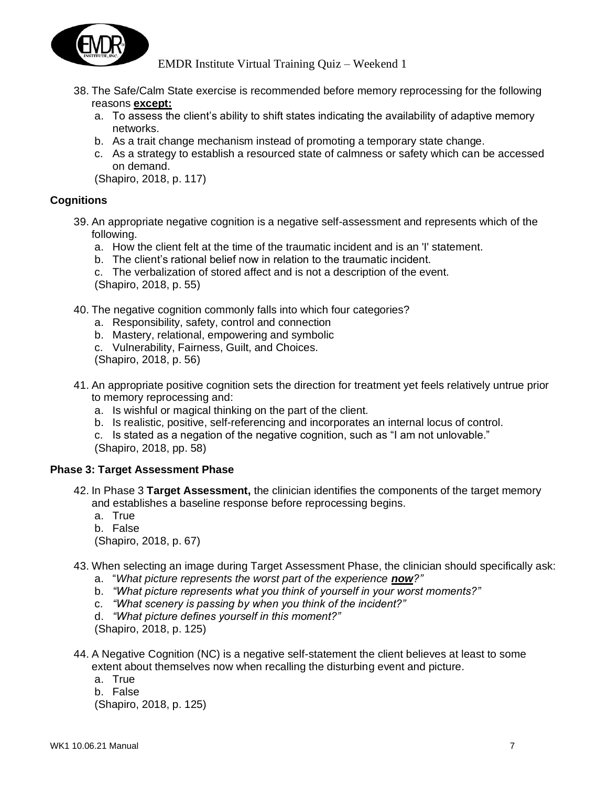

- 38. The Safe/Calm State exercise is recommended before memory reprocessing for the following reasons **except:**
	- a. To assess the client's ability to shift states indicating the availability of adaptive memory networks.
	- b. As a trait change mechanism instead of promoting a temporary state change.
	- c. As a strategy to establish a resourced state of calmness or safety which can be accessed on demand.

(Shapiro, 2018, p. 117)

#### **Cognitions**

- 39. An appropriate negative cognition is a negative self-assessment and represents which of the following.
	- a. How the client felt at the time of the traumatic incident and is an 'I' statement.
	- b. The client's rational belief now in relation to the traumatic incident.

c. The verbalization of stored affect and is not a description of the event. (Shapiro, 2018, p. 55)

- 40. The negative cognition commonly falls into which four categories?
	- a. Responsibility, safety, control and connection
	- b. Mastery, relational, empowering and symbolic
	- c. Vulnerability, Fairness, Guilt, and Choices.
	- (Shapiro, 2018, p. 56)
- 41. An appropriate positive cognition sets the direction for treatment yet feels relatively untrue prior to memory reprocessing and:
	- a. Is wishful or magical thinking on the part of the client.
	- b. Is realistic, positive, self-referencing and incorporates an internal locus of control.
	- c. Is stated as a negation of the negative cognition, such as "I am not unlovable." (Shapiro, 2018, pp. 58)

#### **Phase 3: Target Assessment Phase**

- 42. In Phase 3 **Target Assessment,** the clinician identifies the components of the target memory and establishes a baseline response before reprocessing begins.
	- a. True
	- b. False

(Shapiro, 2018, p. 67)

- 43. When selecting an image during Target Assessment Phase, the clinician should specifically ask:
	- a. "*What picture represents the worst part of the experience now?"*
	- b. *"What picture represents what you think of yourself in your worst moments?"*
	- c. *"What scenery is passing by when you think of the incident?"*
	- d. *"What picture defines yourself in this moment?"*

(Shapiro, 2018, p. 125)

- 44. A Negative Cognition (NC) is a negative self-statement the client believes at least to some extent about themselves now when recalling the disturbing event and picture.
	- a. True
	- b. False

(Shapiro, 2018, p. 125)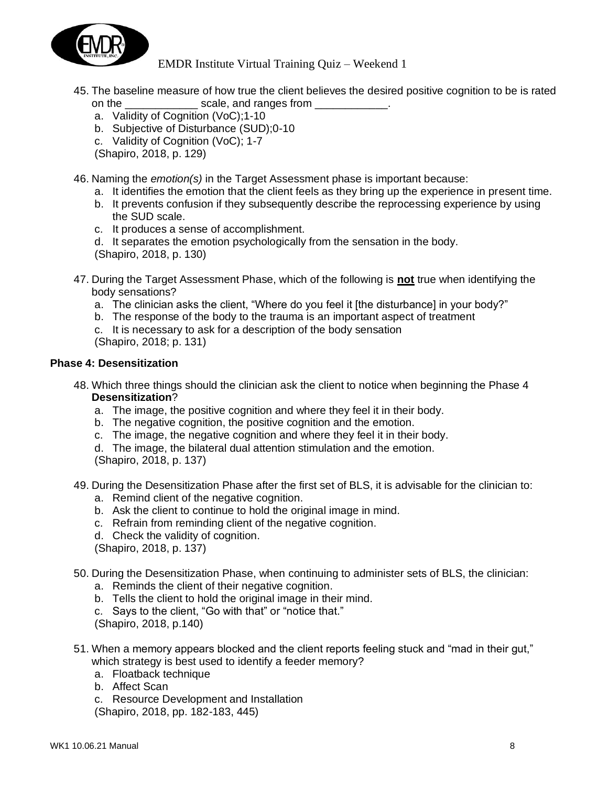

- 45. The baseline measure of how true the client believes the desired positive cognition to be is rated on the scale, and ranges from  $\sim$ 
	- a. Validity of Cognition (VoC);1-10
	- b. Subjective of Disturbance (SUD);0-10
	- c. Validity of Cognition (VoC); 1-7
	- (Shapiro, 2018, p. 129)

46. Naming the *emotion(s)* in the Target Assessment phase is important because:

- a. It identifies the emotion that the client feels as they bring up the experience in present time.
- b. It prevents confusion if they subsequently describe the reprocessing experience by using the SUD scale.
- c. It produces a sense of accomplishment.
- d. It separates the emotion psychologically from the sensation in the body.

(Shapiro, 2018, p. 130)

- 47. During the Target Assessment Phase, which of the following is **not** true when identifying the body sensations?
	- a. The clinician asks the client, "Where do you feel it [the disturbance] in your body?"
	- b. The response of the body to the trauma is an important aspect of treatment
	- c. It is necessary to ask for a description of the body sensation (Shapiro, 2018; p. 131)

#### **Phase 4: Desensitization**

- 48. Which three things should the clinician ask the client to notice when beginning the Phase 4 **Desensitization**?
	- a. The image, the positive cognition and where they feel it in their body.
	- b. The negative cognition, the positive cognition and the emotion.
	- c. The image, the negative cognition and where they feel it in their body.
	- d. The image, the bilateral dual attention stimulation and the emotion.

(Shapiro, 2018, p. 137)

- 49. During the Desensitization Phase after the first set of BLS, it is advisable for the clinician to:
	- a. Remind client of the negative cognition.
	- b. Ask the client to continue to hold the original image in mind.
	- c. Refrain from reminding client of the negative cognition.
	- d. Check the validity of cognition.

(Shapiro, 2018, p. 137)

- 50. During the Desensitization Phase, when continuing to administer sets of BLS, the clinician:
	- a. Reminds the client of their negative cognition.
	- b. Tells the client to hold the original image in their mind.
	- c. Says to the client, "Go with that" or "notice that."
	- (Shapiro, 2018, p.140)
- 51. When a memory appears blocked and the client reports feeling stuck and "mad in their gut," which strategy is best used to identify a feeder memory?
	- a. Floatback technique
	- b. Affect Scan
	- c. Resource Development and Installation

(Shapiro, 2018, pp. 182-183, 445)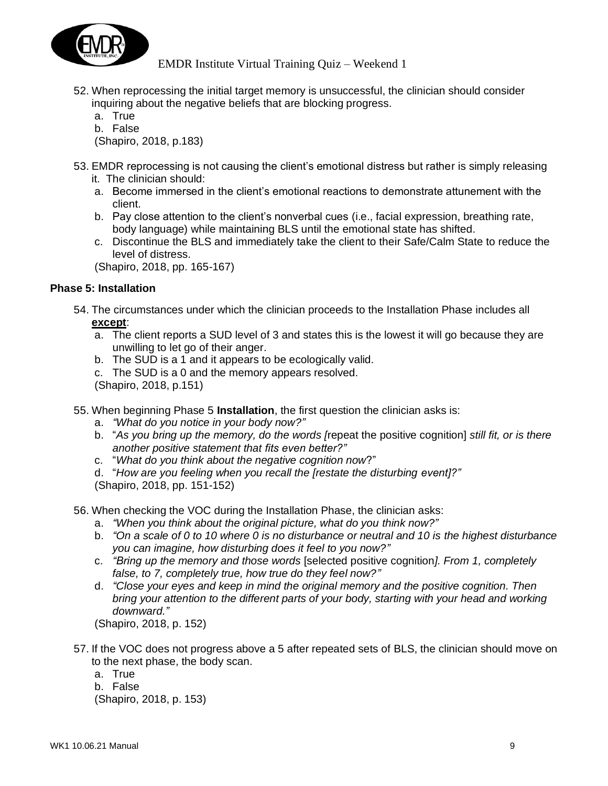

- 52. When reprocessing the initial target memory is unsuccessful, the clinician should consider inquiring about the negative beliefs that are blocking progress.
	- a. True
	- b. False

(Shapiro, 2018, p.183)

- 53. EMDR reprocessing is not causing the client's emotional distress but rather is simply releasing it. The clinician should:
	- a. Become immersed in the client's emotional reactions to demonstrate attunement with the client.
	- b. Pay close attention to the client's nonverbal cues (i.e., facial expression, breathing rate, body language) while maintaining BLS until the emotional state has shifted.
	- c. Discontinue the BLS and immediately take the client to their Safe/Calm State to reduce the level of distress.

(Shapiro, 2018, pp. 165-167)

#### **Phase 5: Installation**

- 54. The circumstances under which the clinician proceeds to the Installation Phase includes all **except**:
	- a. The client reports a SUD level of 3 and states this is the lowest it will go because they are unwilling to let go of their anger.
	- b. The SUD is a 1 and it appears to be ecologically valid.
	- c. The SUD is a 0 and the memory appears resolved.

(Shapiro, 2018, p.151)

55. When beginning Phase 5 **Installation**, the first question the clinician asks is:

- a. *"What do you notice in your body now?"*
- b. "*As you bring up the memory, do the words [*repeat the positive cognition] *still fit, or is there another positive statement that fits even better?"*
- c. "*What do you think about the negative cognition now*?"
- d. "*How are you feeling when you recall the [restate the disturbing event]?"*

(Shapiro, 2018, pp. 151-152)

56. When checking the VOC during the Installation Phase, the clinician asks:

- a. *"When you think about the original picture, what do you think now?"*
- b. *"On a scale of 0 to 10 where 0 is no disturbance or neutral and 10 is the highest disturbance you can imagine, how disturbing does it feel to you now?"*
- c. *"Bring up the memory and those words* [selected positive cognition*]. From 1, completely false, to 7, completely true, how true do they feel now?"*
- d. *"Close your eyes and keep in mind the original memory and the positive cognition. Then bring your attention to the different parts of your body, starting with your head and working downward."*

(Shapiro, 2018, p. 152)

- 57. If the VOC does not progress above a 5 after repeated sets of BLS, the clinician should move on to the next phase, the body scan.
	- a. True
	- b. False

(Shapiro, 2018, p. 153)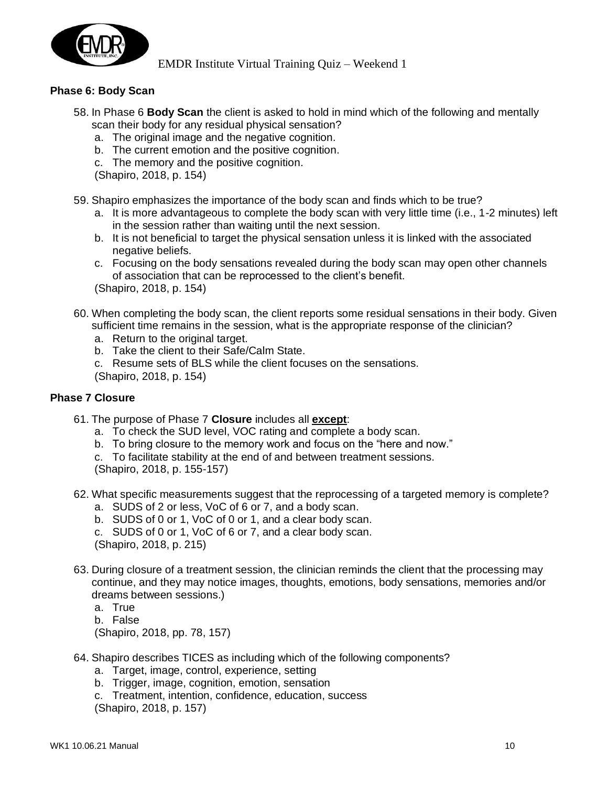

## **Phase 6: Body Scan**

- 58. In Phase 6 **Body Scan** the client is asked to hold in mind which of the following and mentally scan their body for any residual physical sensation?
	- a. The original image and the negative cognition.
	- b. The current emotion and the positive cognition.
	- c. The memory and the positive cognition.
	- (Shapiro, 2018, p. 154)
- 59. Shapiro emphasizes the importance of the body scan and finds which to be true?
	- a. It is more advantageous to complete the body scan with very little time (i.e., 1-2 minutes) left in the session rather than waiting until the next session.
	- b. It is not beneficial to target the physical sensation unless it is linked with the associated negative beliefs.
	- c. Focusing on the body sensations revealed during the body scan may open other channels of association that can be reprocessed to the client's benefit.

(Shapiro, 2018, p. 154)

- 60. When completing the body scan, the client reports some residual sensations in their body. Given sufficient time remains in the session, what is the appropriate response of the clinician?
	- a. Return to the original target.
	- b. Take the client to their Safe/Calm State.
	- c. Resume sets of BLS while the client focuses on the sensations.

(Shapiro, 2018, p. 154)

#### **Phase 7 Closure**

- 61. The purpose of Phase 7 **Closure** includes all **except**:
	- a. To check the SUD level, VOC rating and complete a body scan.
	- b. To bring closure to the memory work and focus on the "here and now."
	- c. To facilitate stability at the end of and between treatment sessions.

(Shapiro, 2018, p. 155-157)

- 62. What specific measurements suggest that the reprocessing of a targeted memory is complete?
	- a. SUDS of 2 or less, VoC of 6 or 7, and a body scan.
	- b. SUDS of 0 or 1, VoC of 0 or 1, and a clear body scan.
	- c. SUDS of 0 or 1, VoC of 6 or 7, and a clear body scan.

(Shapiro, 2018, p. 215)

- 63. During closure of a treatment session, the clinician reminds the client that the processing may continue, and they may notice images, thoughts, emotions, body sensations, memories and/or dreams between sessions.)
	- a. True
	- b. False

(Shapiro, 2018, pp. 78, 157)

- 64. Shapiro describes TICES as including which of the following components?
	- a. Target, image, control, experience, setting
	- b. Trigger, image, cognition, emotion, sensation
	- c. Treatment, intention, confidence, education, success

(Shapiro, 2018, p. 157)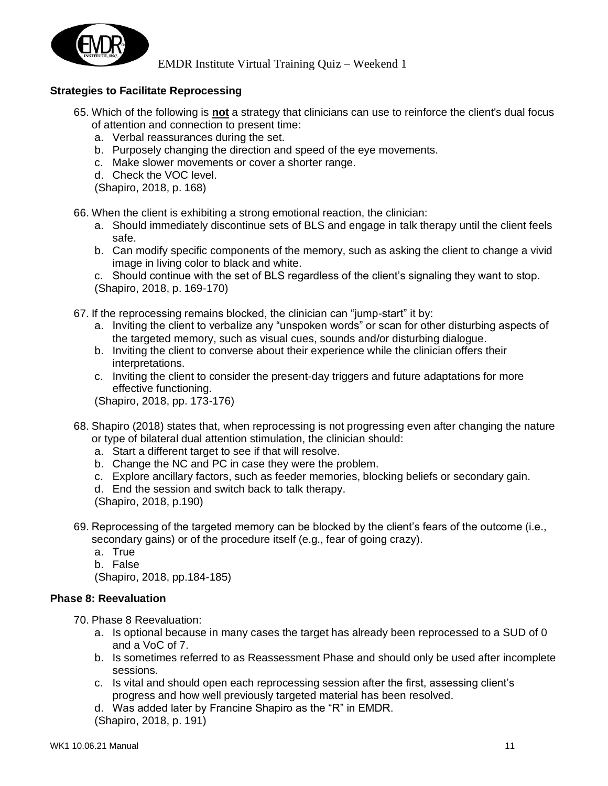

# **Strategies to Facilitate Reprocessing**

- 65. Which of the following is **not** a strategy that clinicians can use to reinforce the client's dual focus of attention and connection to present time:
	- a. Verbal reassurances during the set.
	- b. Purposely changing the direction and speed of the eye movements.
	- c. Make slower movements or cover a shorter range.
	- d. Check the VOC level.

(Shapiro, 2018, p. 168)

66. When the client is exhibiting a strong emotional reaction, the clinician:

- a. Should immediately discontinue sets of BLS and engage in talk therapy until the client feels safe.
- b. Can modify specific components of the memory, such as asking the client to change a vivid image in living color to black and white.

c. Should continue with the set of BLS regardless of the client's signaling they want to stop. (Shapiro, 2018, p. 169-170)

- 67. If the reprocessing remains blocked, the clinician can "jump-start" it by:
	- a. Inviting the client to verbalize any "unspoken words" or scan for other disturbing aspects of the targeted memory, such as visual cues, sounds and/or disturbing dialogue.
	- b. Inviting the client to converse about their experience while the clinician offers their interpretations.
	- c. Inviting the client to consider the present-day triggers and future adaptations for more effective functioning.

(Shapiro, 2018, pp. 173-176)

- 68. Shapiro (2018) states that, when reprocessing is not progressing even after changing the nature or type of bilateral dual attention stimulation, the clinician should:
	- a. Start a different target to see if that will resolve.
	- b. Change the NC and PC in case they were the problem.
	- c. Explore ancillary factors, such as feeder memories, blocking beliefs or secondary gain.
	- d. End the session and switch back to talk therapy.
	- (Shapiro, 2018, p.190)
- 69. Reprocessing of the targeted memory can be blocked by the client's fears of the outcome (i.e., secondary gains) or of the procedure itself (e.g., fear of going crazy).
	- a. True
	- b. False

(Shapiro, 2018, pp.184-185)

#### **Phase 8: Reevaluation**

70. Phase 8 Reevaluation:

- a. Is optional because in many cases the target has already been reprocessed to a SUD of 0 and a VoC of 7.
- b. Is sometimes referred to as Reassessment Phase and should only be used after incomplete sessions.
- c. Is vital and should open each reprocessing session after the first, assessing client's progress and how well previously targeted material has been resolved.
- d. Was added later by Francine Shapiro as the "R" in EMDR.

(Shapiro, 2018, p. 191)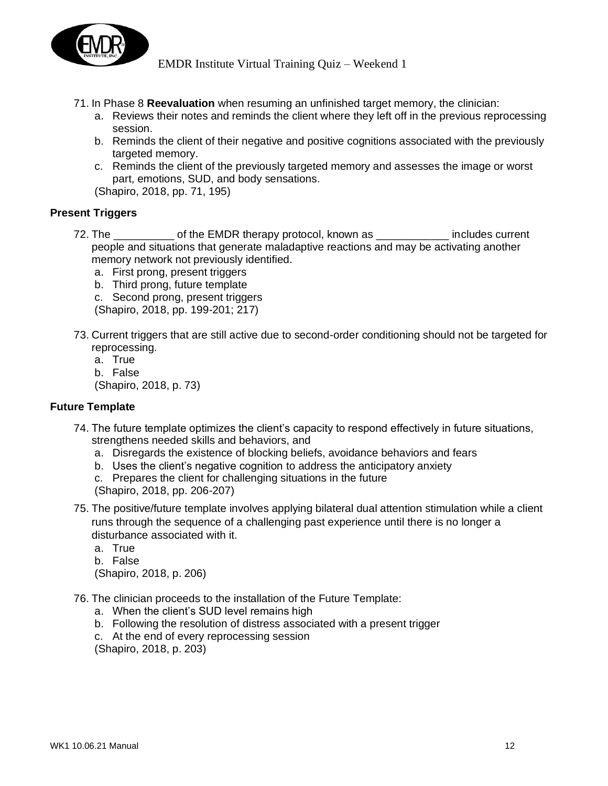

- 71. In Phase 8 **Reevaluation** when resuming an unfinished target memory, the clinician:
	- a. Reviews their notes and reminds the client where they left off in the previous reprocessing session.
	- b. Reminds the client of their negative and positive cognitions associated with the previously targeted memory.
	- c. Reminds the client of the previously targeted memory and assesses the image or worst part, emotions, SUD, and body sensations.

(Shapiro, 2018, pp. 71, 195)

#### **Present Triggers**

- 72. The \_\_\_\_\_\_\_\_\_ of the EMDR therapy protocol, known as \_\_\_\_\_\_\_\_\_\_\_\_\_ includes current people and situations that generate maladaptive reactions and may be activating another memory network not previously identified.
	- a. First prong, present triggers
	- b. Third prong, future template
	- c. Second prong, present triggers
	- (Shapiro, 2018, pp. 199-201; 217)
- 73. Current triggers that are still active due to second-order conditioning should not be targeted for reprocessing.
	- a. True
	- b. False

(Shapiro, 2018, p. 73)

#### **Future Template**

- 74. The future template optimizes the client's capacity to respond effectively in future situations, strengthens needed skills and behaviors, and
	- a. Disregards the existence of blocking beliefs, avoidance behaviors and fears
	- b. Uses the client's negative cognition to address the anticipatory anxiety
	- c. Prepares the client for challenging situations in the future
	- (Shapiro, 2018, pp. 206-207)
- 75. The positive/future template involves applying bilateral dual attention stimulation while a client runs through the sequence of a challenging past experience until there is no longer a disturbance associated with it.
	- a. True
	- b. False

(Shapiro, 2018, p. 206)

- 76. The clinician proceeds to the installation of the Future Template:
	- a. When the client's SUD level remains high
	- b. Following the resolution of distress associated with a present trigger
	- c. At the end of every reprocessing session

(Shapiro, 2018, p. 203)